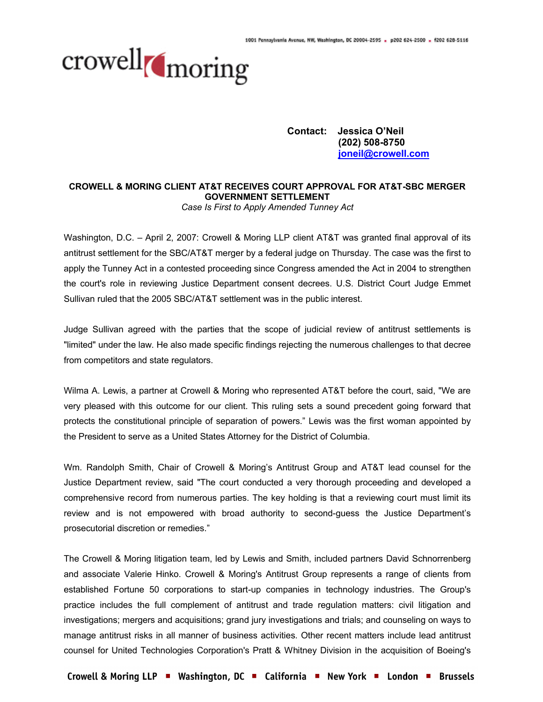

**Contact: Jessica O'Neil (202) 508-8750 joneil@crowell.com**

## **CROWELL & MORING CLIENT AT&T RECEIVES COURT APPROVAL FOR AT&T-SBC MERGER GOVERNMENT SETTLEMENT**

*Case Is First to Apply Amended Tunney Act*

Washington, D.C. – April 2, 2007: Crowell & Moring LLP client AT&T was granted final approval of its antitrust settlement for the SBC/AT&T merger by a federal judge on Thursday. The case was the first to apply the Tunney Act in a contested proceeding since Congress amended the Act in 2004 to strengthen the court's role in reviewing Justice Department consent decrees. U.S. District Court Judge Emmet Sullivan ruled that the 2005 SBC/AT&T settlement was in the public interest.

Judge Sullivan agreed with the parties that the scope of judicial review of antitrust settlements is "limited" under the law. He also made specific findings rejecting the numerous challenges to that decree from competitors and state regulators.

Wilma A. Lewis, a partner at Crowell & Moring who represented AT&T before the court, said, "We are very pleased with this outcome for our client. This ruling sets a sound precedent going forward that protects the constitutional principle of separation of powers." Lewis was the first woman appointed by the President to serve as a United States Attorney for the District of Columbia.

Wm. Randolph Smith, Chair of Crowell & Moring's Antitrust Group and AT&T lead counsel for the Justice Department review, said "The court conducted a very thorough proceeding and developed a comprehensive record from numerous parties. The key holding is that a reviewing court must limit its review and is not empowered with broad authority to second-guess the Justice Department's prosecutorial discretion or remedies."

The Crowell & Moring litigation team, led by Lewis and Smith, included partners David Schnorrenberg and associate Valerie Hinko. Crowell & Moring's Antitrust Group represents a range of clients from established Fortune 50 corporations to start-up companies in technology industries. The Group's practice includes the full complement of antitrust and trade regulation matters: civil litigation and investigations; mergers and acquisitions; grand jury investigations and trials; and counseling on ways to manage antitrust risks in all manner of business activities. Other recent matters include lead antitrust counsel for United Technologies Corporation's Pratt & Whitney Division in the acquisition of Boeing's